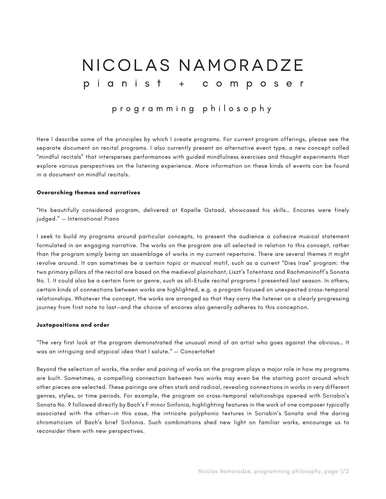# NICOLAS NAMORADZE pianist + composer

## programming philosophy

Here I describe some of the principles by which I create programs. For current program offerings, please see the separate document on recital programs. I also currently present an alternative event type, a new concept called "mindful recitals" that intersperses performances with guided mindfulness exercises and thought experiments that explore various perspectives on the listening experience. More information on these kinds of events can be found in a document on mindful recitals.

#### **Overarching themes and narratives**

"His beautifully considered program, delivered at Kapelle Gstaad, showcased his skills… Encores were finely judged." — International Piano

I seek to build my programs around particular concepts, to present the audience a cohesive musical statement formulated in an engaging narrative. The works on the program are all selected in relation to this concept, rather than the program simply being an assemblage of works in my current repertoire. There are several themes it might revolve around. It can sometimes be a certain topic or musical motif, such as a current "Dies Irae" program: the two primary pillars of the recital are based on the medieval plainchant, Liszt's Totentanz and Rachmaninoff's Sonata No. 1. It could also be a certain form or genre, such as all-Etude recital programs I presented last season. In others, certain kinds of connections between works are highlighted, e.g. a program focused on unexpected cross-temporal relationships. Whatever the concept, the works are arranged so that they carry the listener on a clearly progressing journey from first note to last—and the choice of encores also generally adheres to this conception.

#### **Juxtapositions and order**

"The very first look at the program demonstrated the unusual mind of an artist who goes against the obvious… It was an intriguing and atypical idea that I salute." — ConcertoNet

Beyond the selection of works, the order and pairing of works on the program plays a major role in how my programs are built. Sometimes, a compelling connection between two works may even be the starting point around which other pieces are selected. These pairings are often stark and radical, revealing connections in works in very different genres, styles, or time periods. For example, the program on cross-temporal relationships opened with Scriabin's Sonata No. 9 followed directly by Bach's F minor Sinfonia, highlighting features in the work of one composer typically associated with the other—in this case, the intricate polyphonic textures in Scriabin's Sonata and the daring chromaticism of Bach's brief Sinfonia. Such combinations shed new light on familiar works, encourage us to reconsider them with new perspectives.